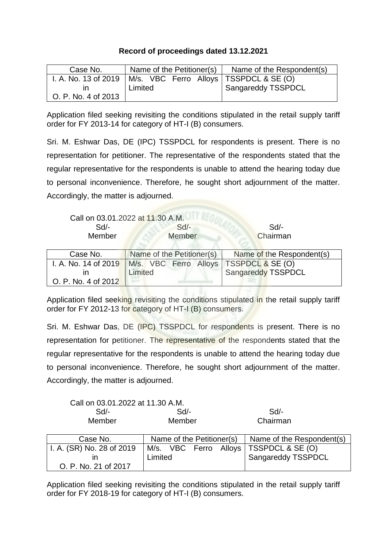## **Record of proceedings dated 13.12.2021**

| Case No.            | Name of the Petitioner(s)                                       | Name of the Respondent(s) |
|---------------------|-----------------------------------------------------------------|---------------------------|
|                     | I. A. No. 13 of 2019   M/s. VBC Ferro Alloys   TSSPDCL & SE (O) |                           |
|                     | Limited                                                         | Sangareddy TSSPDCL        |
| O. P. No. 4 of 2013 |                                                                 |                           |

Application filed seeking revisiting the conditions stipulated in the retail supply tariff order for FY 2013-14 for category of HT-I (B) consumers.

Sri. M. Eshwar Das, DE (IPC) TSSPDCL for respondents is present. There is no representation for petitioner. The representative of the respondents stated that the regular representative for the respondents is unable to attend the hearing today due to personal inconvenience. Therefore, he sought short adjournment of the matter. Accordingly, the matter is adjourned.

| Call on 03.01.2022 at 11.30 A.M. |        |          |
|----------------------------------|--------|----------|
| Sd/-                             | $Sd$ - | Sd       |
| <b>Member</b>                    | Member | Chairman |

| Case No.            | Name of the Petitioner(s)                                       | Name of the Respondent(s) |
|---------------------|-----------------------------------------------------------------|---------------------------|
|                     | I. A. No. 14 of 2019   M/s. VBC Ferro Alloys   TSSPDCL & SE (O) |                           |
|                     | Limited                                                         | Sangareddy TSSPDCL        |
| O. P. No. 4 of 2012 |                                                                 |                           |

Application filed seeking revisiting the conditions stipulated in the retail supply tariff order for FY 2012-13 for category of HT-I (B) consumers.

Sri. M. Eshwar Das, DE (IPC) TSSPDCL for respondents is present. There is no representation for petitioner. The representative of the respondents stated that the regular representative for the respondents is unable to attend the hearing today due to personal inconvenience. Therefore, he sought short adjournment of the matter. Accordingly, the matter is adjourned.

| Call on 03.01.2022 at 11.30 A.M. |        |          |
|----------------------------------|--------|----------|
| Sd                               | $Sd$ - | $Sd/-$   |
| Member                           | Member | Chairman |

| Case No.                  | Name of the Petitioner(s) |  |  | Name of the Respondent(s)                |
|---------------------------|---------------------------|--|--|------------------------------------------|
| I. A. (SR) No. 28 of 2019 |                           |  |  | M/s. VBC Ferro Alloys   TSSPDCL & SE (O) |
|                           | Limited                   |  |  | <sup>1</sup> Sangareddy TSSPDCL          |
| O. P. No. 21 of 2017      |                           |  |  |                                          |

Application filed seeking revisiting the conditions stipulated in the retail supply tariff order for FY 2018-19 for category of HT-I (B) consumers.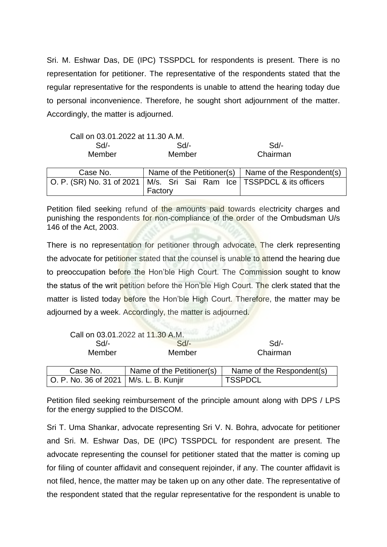Sri. M. Eshwar Das, DE (IPC) TSSPDCL for respondents is present. There is no representation for petitioner. The representative of the respondents stated that the regular representative for the respondents is unable to attend the hearing today due to personal inconvenience. Therefore, he sought short adjournment of the matter. Accordingly, the matter is adjourned.

| Call on 03.01.2022 at 11.30 A.M. |                           |  |                                               |
|----------------------------------|---------------------------|--|-----------------------------------------------|
| Sd/-                             | $Sd$ -                    |  | Sd/-                                          |
| Member                           | Member                    |  | Chairman                                      |
|                                  |                           |  |                                               |
| Case No.                         | Name of the Petitioner(s) |  | Name of the Respondent(s)                     |
| O. P. (SR) No. 31 of 2021        |                           |  | M/s. Sri Sai Ram Ice   TSSPDCL & its officers |
|                                  | Factory                   |  |                                               |

Petition filed seeking refund of the amounts paid towards electricity charges and punishing the respondents for non-compliance of the order of the Ombudsman U/s 146 of the Act, 2003.

There is no representation for petitioner through advocate. The clerk representing the advocate for petitioner stated that the counsel is unable to attend the hearing due to preoccupation before the Hon'ble High Court. The Commission sought to know the status of the writ petition before the Hon'ble High Court. The clerk stated that the matter is listed today before the Hon'ble High Court. Therefore, the matter may be adjourned by a week. Accordingly, the matter is adjourned.

|                                          | Call on 03.01.2022 at 11.30 A.M. |                           |
|------------------------------------------|----------------------------------|---------------------------|
| Sd/-                                     | $Sd$ -                           | Sd                        |
| Member                                   | Member                           | Chairman                  |
| Case No.                                 | Name of the Petitioner(s)        | Name of the Respondent(s) |
| O. P. No. 36 of 2021   M/s. L. B. Kunjir |                                  | <b>TSSPDCL</b>            |

Petition filed seeking reimbursement of the principle amount along with DPS / LPS for the energy supplied to the DISCOM.

Sri T. Uma Shankar, advocate representing Sri V. N. Bohra, advocate for petitioner and Sri. M. Eshwar Das, DE (IPC) TSSPDCL for respondent are present. The advocate representing the counsel for petitioner stated that the matter is coming up for filing of counter affidavit and consequent rejoinder, if any. The counter affidavit is not filed, hence, the matter may be taken up on any other date. The representative of the respondent stated that the regular representative for the respondent is unable to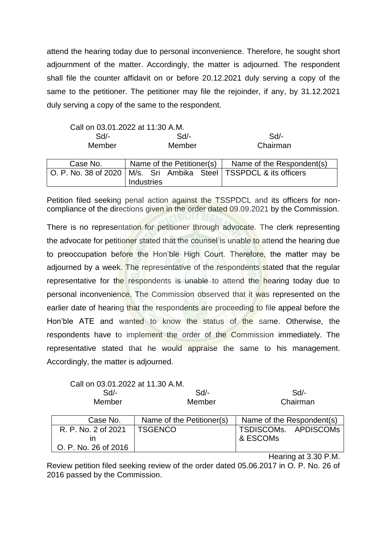attend the hearing today due to personal inconvenience. Therefore, he sought short adjournment of the matter. Accordingly, the matter is adjourned. The respondent shall file the counter affidavit on or before 20.12.2021 duly serving a copy of the same to the petitioner. The petitioner may file the rejoinder, if any, by 31.12.2021 duly serving a copy of the same to the respondent.

| Call on 03.01.2022 at 11:30 A.M.                                      |                           |
|-----------------------------------------------------------------------|---------------------------|
| Sd                                                                    | Sd                        |
| Member                                                                | Chairman                  |
| Name of the Petitioner(s)                                             | Name of the Respondent(s) |
| O. P. No. 38 of 2020   M/s. Sri Ambika Steel   TSSPDCL & its officers |                           |
|                                                                       | Industries                |

Petition filed seeking penal action against the TSSPDCL and its officers for noncompliance of the directions given in the order dated 09.09.2021 by the Commission.

There is no representation for petitioner through advocate. The clerk representing the advocate for petitioner stated that the counsel is unable to attend the hearing due to preoccupation before the Hon'ble High Court. Therefore, the matter may be adjourned by a week. The representative of the respondents stated that the regular representative for the respondents is unable to attend the hearing today due to personal inconvenience. The Commission observed that it was represented on the earlier date of hearing that the respondents are proceeding to file appeal before the Hon'ble ATE and wanted to know the status of the same. Otherwise, the respondents have to implement the order of the Commission immediately. The representative stated that he would appraise the same to his management. Accordingly, the matter is adjourned.

|    | Call on 03.01.2022 at 11.30 A.M. |                           |                           |  |
|----|----------------------------------|---------------------------|---------------------------|--|
| Sd |                                  | Sd                        | $Sd$ -                    |  |
|    | Member                           | Member                    | Chairman                  |  |
|    |                                  |                           |                           |  |
|    | Case No.                         | Name of the Petitioner(s) | Name of the Respondent(s) |  |
|    | R. P. No. 2 of 2021              | <b>TSGENCO</b>            | TSDISCOMs. APDISCOMs      |  |
|    | ın                               |                           | & ESCOMs                  |  |
|    | O. P. No. 26 of 2016             |                           |                           |  |
|    |                                  |                           | Hearing at 3.30 P.M.      |  |

Review petition filed seeking review of the order dated 05.06.2017 in O. P. No. 26 of

2016 passed by the Commission.